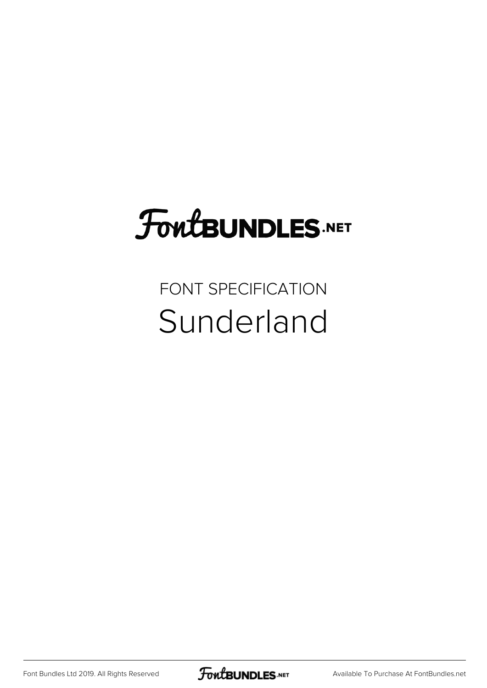## **FoutBUNDLES.NET**

## FONT SPECIFICATION Sunderland

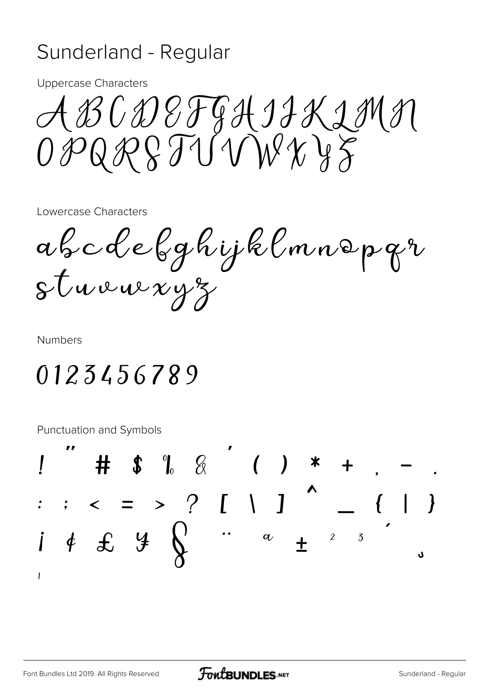## Sunderland - Regular

**Uppercase Characters** 

ABCDEFGHIIKIMN  $OPORRSTUVWYZ$ 

Lowercase Characters

abcdebghijklmnopqr  $s$ tuvu $x y z$ 

**Numbers** 

## 0123456789

Punctuation and Symbols

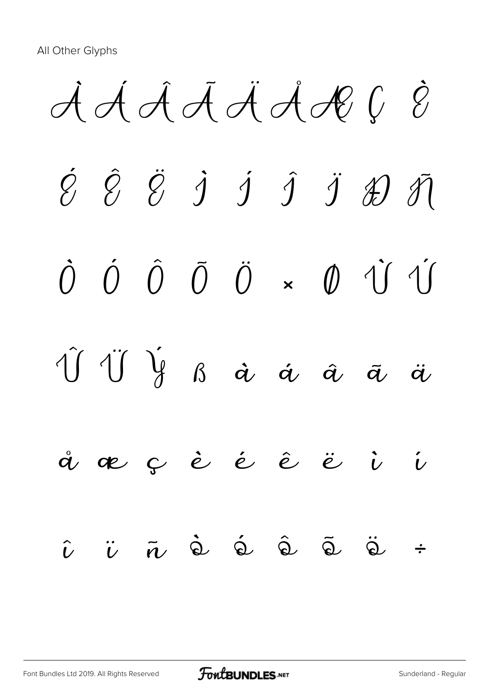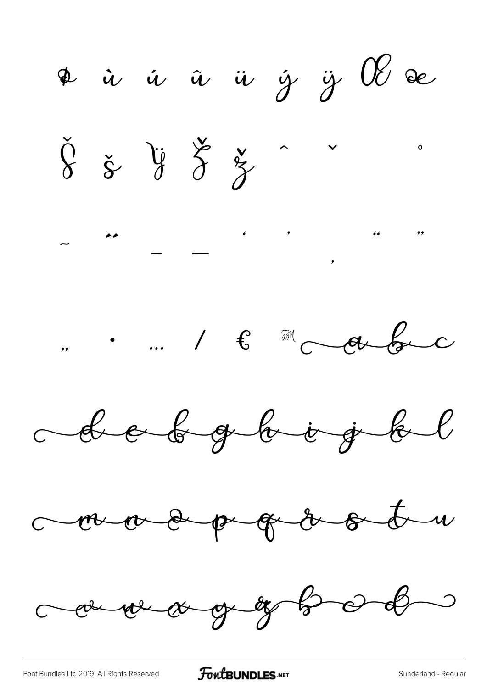¢ ù ú û ü ý ÿ 0% de  $\check{\S} \; \check{\simeq} \; \check{\S} \; \check{\simeq} \; \check{\simeq} \; \; \check{\;}$  $\mathbf{o}$ " " " + " debe debgbogt de coma e p q a o t comment and group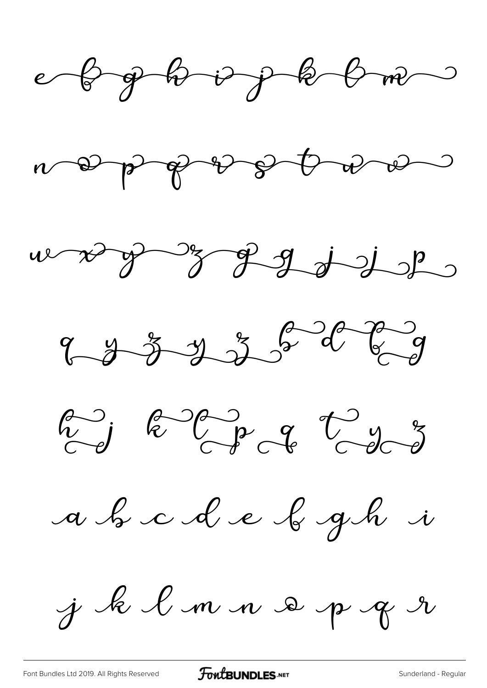









a b c d e b gh i

j k l m n s p g r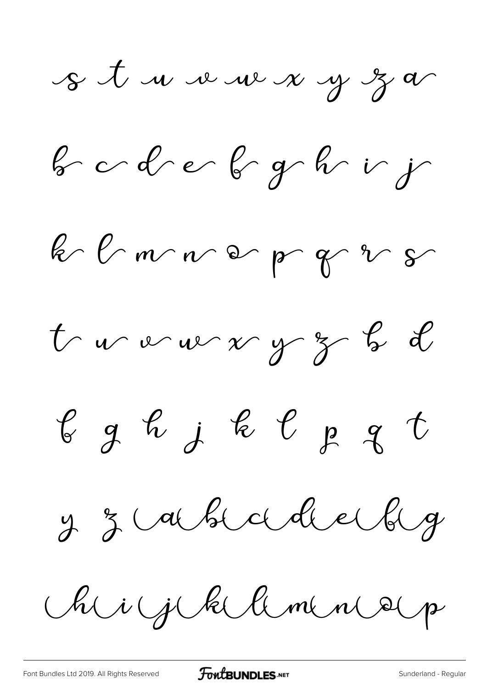s t une veux y z a

 $bcdcbcgc\,$ 

k l'muver pr gr 2 5

tour vour y z b d

 $\ell$  g h j k  $\ell$  p g t

y z abscolledge

Rig klamne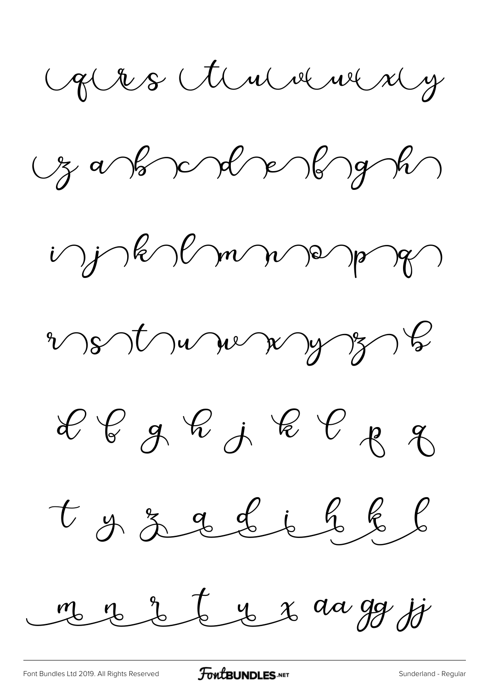Gles Annanny

 $\frac{1}{2}a\sqrt{b}$  and  $\frac{1}{2}a\sqrt{b}$ 

i jakolmne pa

vet vue ay 3

 $e_{g}e_{j}e_{j}e_{j}e_{j}e_{j}$ 

t g z g L i h k l

mer de la 2 da gg jj